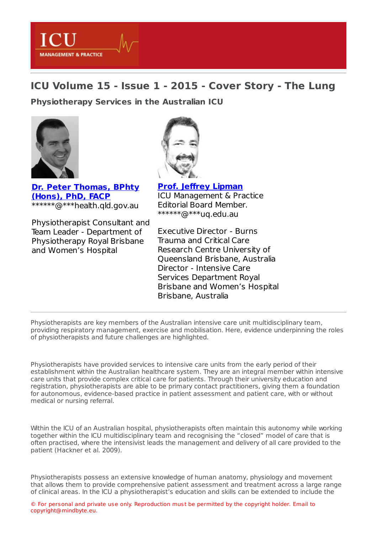## **ICU Volume 15 - Issue 1 - 2015 - Cover Story - The Lung**

**[Physiotherapy](https://healthmanagement.org/s/physiotherapy-services-in-the-australian-icu) Services in the Australian ICU**



LCI

**MANAGEMENT & PRACTICE** 

**Dr. Peter [Thomas,](https://healthmanagement.org/viewProfile/73743/Peter_Thomas) BPhty (Hons), PhD, FACP** \*\*\*\*\*\*@\*\*\*health.qld.gov.au

Physiotherapist Consultant and Team Leader - Department of Physiotherapy Royal Brisbane and Women's Hospital

**Prof. Jeffrey [Lipman](https://healthmanagement.org/viewProfile/1130/Jeffrey_Lipman)** ICU Management & Practice

Editorial Board Member. \*\*\*\*\*\*@\*\*\*uq.edu.au

Executive Director - Burns Trauma and Critical Care Research Centre University of Queensland Brisbane, Australia Director - Intensive Care Services Department Royal Brisbane and Women's Hospital Brisbane, Australia

Physiotherapists are key members of the Australian intensive care unit multidisciplinary team, providing respiratory management, exercise and mobilisation. Here, evidence underpinning the roles of physiotherapists and future challenges are highlighted.

Physiotherapists have provided services to intensive care units from the early period of their establishment within the Australian healthcare system. They are an integral member within intensive care units that provide complex critical care for patients. Through their university education and registration, physiotherapists are able to be primary contact practitioners, giving them a foundation for autonomous, evidence-based practice in patient assessment and patient care, with or without medical or nursing referral.

Within the ICU of an Australian hospital, physiotherapists often maintain this autonomy while working together within the ICU multidisciplinary team and recognising the "closed" model of care that is often practised, where the intensivist leads the management and delivery of all care provided to the patient (Hackner et al. 2009).

Physiotherapists possess an extensive knowledge of human anatomy, physiology and movement that allows them to provide comprehensive patient assessment and treatment across a large range of clinical areas. In the ICU a physiotherapist's education and skills can be extended to include the

© For personal and private use only. Reproduction must be permitted by the copyright holder. Email to copyright@mindbyte.eu.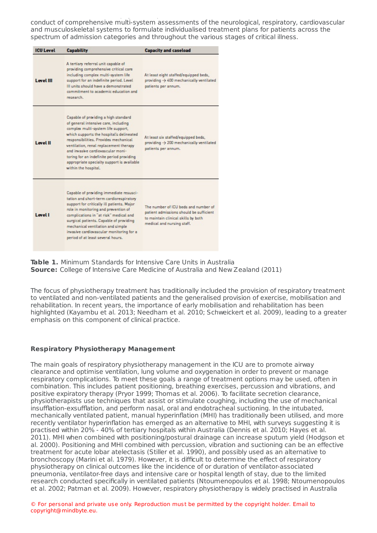conduct of comprehensive multi-system assessments of the neurological, respiratory, cardiovascular and musculoskeletal systems to formulate individualised treatment plans for patients across the spectrum of admission categories and throughout the various stages of critical illness.

of clinical areas. In the ICU a physiotherapist's education and skills can be extended to include the

| <b>ICU Level</b> | <b>Capability</b>                                                                                                                                                                                                                                                                                                                                                                                         | <b>Capacity and caseload</b>                                                                                                                         |
|------------------|-----------------------------------------------------------------------------------------------------------------------------------------------------------------------------------------------------------------------------------------------------------------------------------------------------------------------------------------------------------------------------------------------------------|------------------------------------------------------------------------------------------------------------------------------------------------------|
| <b>Level III</b> | A tertiary referral unit capable of<br>providing comprehensive critical care<br>including complex multi-system life<br>support for an indefinite period. Level<br>III units should have a demonstrated<br>commitment to academic education and<br>research.                                                                                                                                               | At least eight staffed/equipped beds,<br>providing $\rightarrow$ 400 mechanically ventilated<br>patients per annum.                                  |
| <b>Level II</b>  | Capable of providing a high standard<br>of general intensive care, including<br>complex multi-system life support,<br>which supports the hospital's delineated<br>responsibilities. Provides mechanical<br>ventilation, renal replacement therapy<br>and invasive cardiovascular moni-<br>toring for an indefinite period providing<br>appropriate specialty support is available<br>within the hospital. | At least six staffed/equipped beds,<br>providing $\rightarrow$ 200 mechanically ventilated<br>patients per annum.                                    |
| <b>Level I</b>   | Capable of providing immediate resusci-<br>tation and short-term cardiorespiratory<br>support for critically ill patients. Major<br>role in monitoring and prevention of<br>complications in "at risk" medical and<br>surgical patients. Capable of providing<br>mechanical ventilation and simple<br>invasive cardiovascular monitoring for a<br>period of at least several hours.                       | The number of ICU beds and number of<br>patient admissions should be sufficient<br>to maintain clinical skills by both<br>medical and nursing staff. |

**Table 1.** Minimum Standards for Intensive Care Units in Australia **Source:** College of Intensive Care Medicine of Australia and New Zealand (2011)

The focus of physiotherapy treatment has traditionally included the provision of respiratory treatment to ventilated and non-ventilated patients and the generalised provision of exercise, mobilisation and rehabilitation. In recent years, the importance of early mobilisation and rehabilitation has been highlighted (Kayambu et al. 2013; Needham et al. 2010; Schweickert et al. 2009), leading to a greater emphasis on this component of clinical practice.

## **Respiratory Physiotherapy Management**

The main goals of respiratory physiotherapy management in the ICU are to promote airway clearance and optimise ventilation, lung volume and oxygenation in order to prevent or manage respiratory complications. To meet these goals a range of treatment options may be used, often in combination. This includes patient positioning, breathing exercises, percussion and vibrations, and positive expiratory therapy (Pryor 1999; Thomas et al. 2006). To facilitate secretion clearance, physiotherapists use techniques that assist or stimulate coughing, including the use of mechanical insufflation-exsufflation, and perform nasal, oral and endotracheal suctioning. In the intubated, mechanically ventilated patient, manual hyperinflation (MHI) has traditionally been utilised, and more recently ventilator hyperinflation has emerged as an alternative to MHI, with surveys suggesting it is practised within 20% - 40% of tertiary hospitals within Australia (Dennis et al. 2010; Hayes et al. 2011). MHI when combined with positioning/postural drainage can increase sputum yield (Hodgson et al. 2000). Positioning and MHI combined with percussion, vibration and suctioning can be an effective treatment for acute lobar atelectasis (Stiller et al. 1990), and possibly used as an alternative to bronchoscopy (Marini et al. 1979). However, it is difficult to determine the effect of respiratory physiotherapy on clinical outcomes like the incidence of or duration of ventilator-associated pneumonia, ventilator-free days and intensive care or hospital length of stay, due to the limited research conducted specifically in ventilated patients (Ntoumenopoulos et al. 1998; Ntoumenopoulos et al. 2002; Patman et al. 2009). However, respiratory physiotherapy is widely practised in Australia

© For personal and private use only. Reproduction must be permitted by the copyright holder. Email to copyright@mindbyte.eu.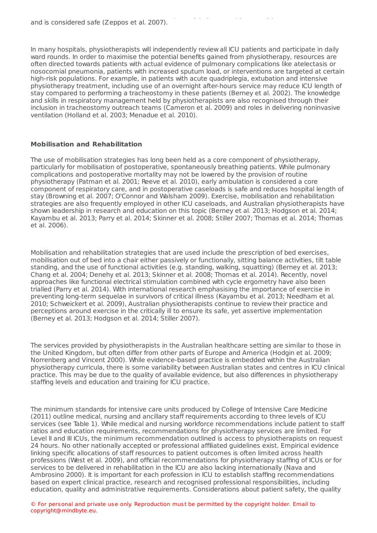In many hospitals, physiotherapists will independently review all ICU patients and participate in daily ward rounds. In order to maximise the potential benefits gained from physiotherapy, resources are often directed towards patients with actual evidence of pulmonary complications like atelectasis or nosocomial pneumonia, patients with increased sputum load, or interventions are targeted at certain high-risk populations. For example, in patients with acute quadriplegia, extubation and intensive physiotherapy treatment, including use of an overnight after-hours service may reduce ICU length of stay compared to performing a tracheostomy in these patients (Berney et al. 2002). The knowledge and skills in respiratory management held by physiotherapists are also recognised through their inclusion in tracheostomy outreach teams (Cameron et al. 2009) and roles in delivering noninvasive ventilation (Holland et al. 2003; Menadue et al. 2010).

et al. 2002; Patman et al. 2009). However, respiratory physiotherapy is widely practised in Australia

## **Mobilisation and Rehabilitation**

The use of mobilisation strategies has long been held as a core component of physiotherapy, particularly for mobilisation of postoperative, spontaneously breathing patients. While pulmonary complications and postoperative mortality may not be lowered by the provision of routine physiotherapy (Patman et al. 2001; Reeve et al. 2010), early ambulation is considered a core component of respiratory care, and in postoperative caseloads is safe and reduces hospital length of stay (Browning et al. 2007; O'Connor and Walsham 2009). Exercise, mobilisation and rehabilitation strategies are also frequently employed in other ICU caseloads, and Australian physiotherapists have shown leadership in research and education on this topic (Berney et al. 2013; Hodgson et al. 2014; Kayambu et al. 2013; Parry et al. 2014; Skinner et al. 2008; Stiller 2007; Thomas et al. 2014; Thomas et al. 2006).

Mobilisation and rehabilitation strategies that are used include the prescription of bed exercises, mobilisation out of bed into a chair either passively or functionally, sitting balance activities, tilt table standing, and the use of functional activities (e.g. standing, walking, squatting) (Berney et al. 2013; Chang et al. 2004; Denehy et al. 2013; Skinner et al. 2008; Thomas et al. 2014). Recently, novel approaches like functional electrical stimulation combined with cycle ergometry have also been trialled (Parry et al. 2014). With international research emphasising the importance of exercise in preventing long-term sequelae in survivors of critical illness (Kayambu et al. 2013; Needham et al. 2010; Schweickert et al. 2009), Australian physiotherapists continue to review their practice and perceptions around exercise in the critically ill to ensure its safe, yet assertive implementation (Berney et al. 2013; Hodgson et al. 2014; Stiller 2007).

The services provided by physiotherapists in the Australian healthcare setting are similar to those in the United Kingdom, but often differ from other parts of Europe and America (Hodgin et al. 2009; Norrenberg and Vincent 2000). While evidence-based practice is embedded within the Australian physiotherapy curricula, there is some variability between Australian states and centres in ICU clinical practice. This may be due to the quality of available evidence, but also differences in physiotherapy staffing levels and education and training for ICU practice.

The minimum standards for intensive care units produced by College of Intensive Care Medicine (2011) outline medical, nursing and ancillary staff requirements according to three levels of ICU services (see Table 1). While medical and nursing workforce recommendations include patient to staff ratios and education requirements, recommendations for physiotherapy services are limited. For Level II and III ICUs, the minimum recommendation outlined is access to physiotherapists on request 24 hours. No other nationally accepted or professional affiliated guidelines exist. Empirical evidence linking specific allocations of staff resources to patient outcomes is often limited across health professions (West et al. 2009), and official recommendations for physiotherapy staffing of ICUs or for services to be delivered in rehabilitation in the ICU are also lacking internationally (Nava and Ambrosino 2000). It is important for each profession in ICU to establish staffing recommendations based on expert clinical practice, research and recognised professional responsibilities, including education, quality and administrative requirements. Considerations about patient safety, the quality

© For personal and private use only. Reproduction must be permitted by the copyright holder. Email to copyright@mindbyte.eu.